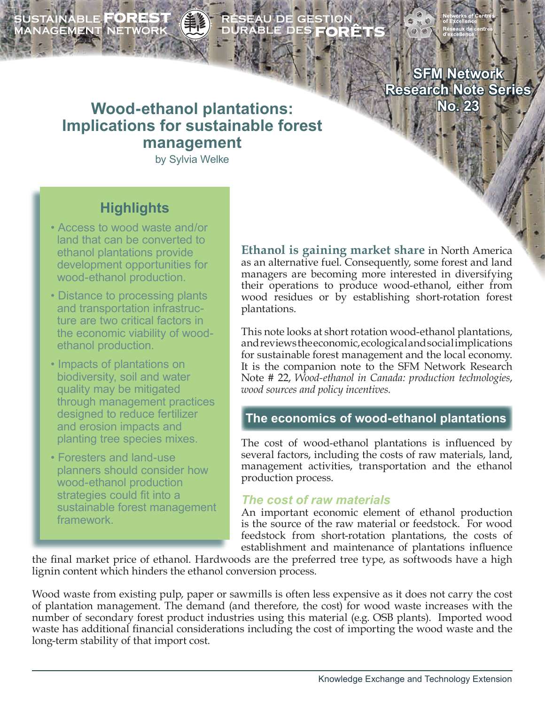SUSTAINABLE **FOREST**<br>MANAGEMENT NETWORK

# ÉSEAU DE GESTION<br>URABLE DES **FORÊT**!

**SFM Network Research Note Series No. 23**

# **Wood-ethanol plantations: Implications for sustainable forest management**

by Sylvia Welke

# **Highlights**

- Access to wood waste and/or land that can be converted to ethanol plantations provide development opportunities for wood-ethanol production.
- Distance to processing plants and transportation infrastruc ture are two critical factors in the economic viability of wood ethanol production.
- Impacts of plantations on biodiversity, soil and water quality may be mitigated through management practices designed to reduce fertilizer and erosion impacts and planting tree species mixes.
- Foresters and land-use planners should consider how wood-ethanol production strategies could fit into a sustainable forest management framework.

**Ethanol is gaining market share** in North America as an alternative fuel. Consequently, some forest and land managers are becoming more interested in diversifying their operations to produce wood-ethanol, either from wood residues or by establishing short-rotation forest plantations.

This note looks at short rotation wood-ethanol plantations, and reviews the economic, ecological and social implications for sustainable forest management and the local economy. It is the companion note to the SFM Network Research Note # 22, *Wood-ethanol in Canada: production technologies*, *wood sources and policy incentives.*

# **The economics of wood-ethanol plantations**

The cost of wood-ethanol plantations is influenced by several factors, including the costs of raw materials, land, management activities, transportation and the ethanol production process.

#### *The cost of raw materials*

An important economic element of ethanol production is the source of the raw material or feedstock. For wood feedstock from short-rotation plantations, the costs of establishment and maintenance of plantations influence

the final market price of ethanol. Hardwoods are the preferred tree type, as softwoods have a high lignin content which hinders the ethanol conversion process.

Wood waste from existing pulp, paper or sawmills is often less expensive as it does not carry the cost of plantation management. The demand (and therefore, the cost) for wood waste increases with the number of secondary forest product industries using this material (e.g. OSB plants). Imported wood waste has additional financial considerations including the cost of importing the wood waste and the long-term stability of that import cost.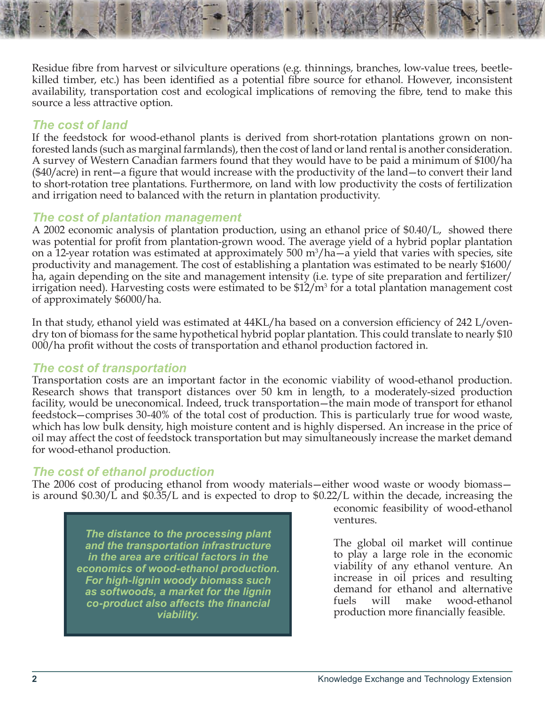Residue fibre from harvest or silviculture operations (e.g. thinnings, branches, low-value trees, beetlekilled timber, etc.) has been identified as a potential fibre source for ethanol. However, inconsistent availability, transportation cost and ecological implications of removing the fibre, tend to make this source a less attractive option.

### *The cost of land*

If the feedstock for wood-ethanol plants is derived from short-rotation plantations grown on nonforested lands (such as marginal farmlands), then the cost of land or land rental is another consideration. A survey of Western Canadian farmers found that they would have to be paid a minimum of \$100/ha (\$40/acre) in rent—a figure that would increase with the productivity of the land—to convert their land to short-rotation tree plantations. Furthermore, on land with low productivity the costs of fertilization and irrigation need to balanced with the return in plantation productivity.

# *The cost of plantation management*

A 2002 economic analysis of plantation production, using an ethanol price of \$0.40/L, showed there was potential for profit from plantation-grown wood. The average yield of a hybrid poplar plantation on a 12-year rotation was estimated at approximately  $500 \text{ m}^3/\text{ha}-\text{a}$  yield that varies with species, site productivity and management. The cost of establishing a plantation was estimated to be nearly \$1600/ ha, again depending on the site and management intensity (i.e. type of site preparation and fertilizer/ irrigation need). Harvesting costs were estimated to be  $$12/m<sup>3</sup>$  for a total plantation management cost of approximately \$6000/ha.

In that study, ethanol yield was estimated at 44KL/ha based on a conversion efficiency of 242 L/ovendry ton of biomass for the same hypothetical hybrid poplar plantation. This could translate to nearly \$10 000/ha profit without the costs of transportation and ethanol production factored in.

#### *The cost of transportation*

Transportation costs are an important factor in the economic viability of wood-ethanol production. Research shows that transport distances over 50 km in length, to a moderately-sized production facility, would be uneconomical. Indeed, truck transportation—the main mode of transport for ethanol feedstock—comprises 30-40% of the total cost of production. This is particularly true for wood waste, which has low bulk density, high moisture content and is highly dispersed. An increase in the price of oil may affect the cost of feedstock transportation but may simultaneously increase the market demand for wood-ethanol production.

# *The cost of ethanol production*

The 2006 cost of producing ethanol from woody materials—either wood waste or woody biomass is around \$0.30/L and \$0.35/L and is expected to drop to \$0.22/L within the decade, increasing the

*The distance to the processing plant and the transportation infrastructure in the area are critical factors in the economics of wood-ethanol production. For high-lignin woody biomass such as softwoods, a market for the lignin co-product also affects the financial viability.*

economic feasibility of wood-ethanol ventures.

The global oil market will continue to play a large role in the economic viability of any ethanol venture. An increase in oil prices and resulting demand for ethanol and alternative fuels will make wood-ethanol production more financially feasible.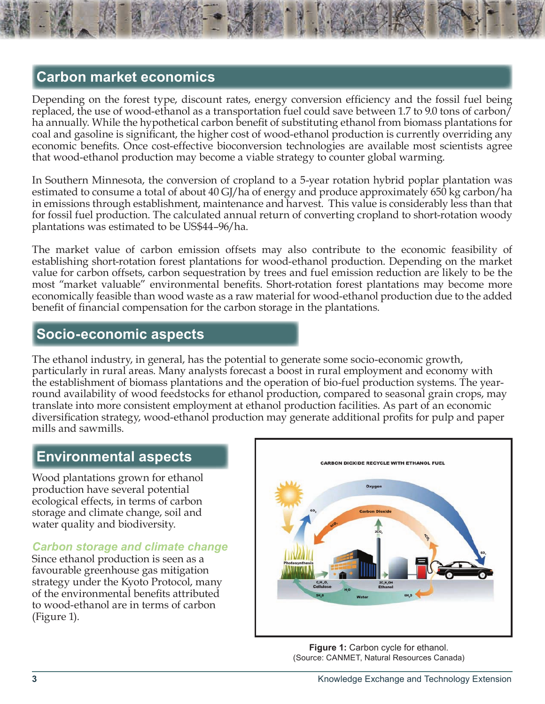# **Carbon market economics**

Depending on the forest type, discount rates, energy conversion efficiency and the fossil fuel being replaced, the use of wood-ethanol as a transportation fuel could save between 1.7 to 9.0 tons of carbon/ ha annually. While the hypothetical carbon benefit of substituting ethanol from biomass plantations for coal and gasoline is significant, the higher cost of wood-ethanol production is currently overriding any economic benefits. Once cost-effective bioconversion technologies are available most scientists agree that wood-ethanol production may become a viable strategy to counter global warming.

In Southern Minnesota, the conversion of cropland to a 5-year rotation hybrid poplar plantation was estimated to consume a total of about 40 GJ/ha of energy and produce approximately 650 kg carbon/ha in emissions through establishment, maintenance and harvest. This value is considerably less than that for fossil fuel production. The calculated annual return of converting cropland to short-rotation woody plantations was estimated to be US\$44–96/ha.

The market value of carbon emission offsets may also contribute to the economic feasibility of establishing short-rotation forest plantations for wood-ethanol production. Depending on the market value for carbon offsets, carbon sequestration by trees and fuel emission reduction are likely to be the most "market valuable" environmental benefits. Short-rotation forest plantations may become more economically feasible than wood waste as a raw material for wood-ethanol production due to the added benefit of financial compensation for the carbon storage in the plantations.

# **Socio-economic aspects**

The ethanol industry, in general, has the potential to generate some socio-economic growth, particularly in rural areas. Many analysts forecast a boost in rural employment and economy with the establishment of biomass plantations and the operation of bio-fuel production systems. The yearround availability of wood feedstocks for ethanol production, compared to seasonal grain crops, may translate into more consistent employment at ethanol production facilities. As part of an economic diversification strategy, wood-ethanol production may generate additional profits for pulp and paper mills and sawmills.

# **Environmental aspects**

Wood plantations grown for ethanol production have several potential ecological effects, in terms of carbon storage and climate change, soil and water quality and biodiversity.

#### *Carbon storage and climate change*

Since ethanol production is seen as a favourable greenhouse gas mitigation strategy under the Kyoto Protocol, many of the environmental benefits attributed to wood-ethanol are in terms of carbon (Figure 1).



**Figure 1:** Carbon cycle for ethanol. (Source: CANMET, Natural Resources Canada)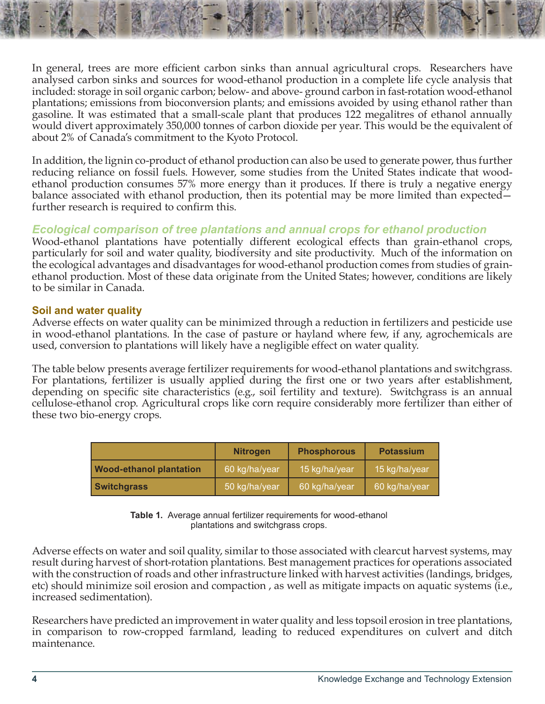In general, trees are more efficient carbon sinks than annual agricultural crops. Researchers have analysed carbon sinks and sources for wood-ethanol production in a complete life cycle analysis that included: storage in soil organic carbon; below- and above- ground carbon in fast-rotation wood-ethanol plantations; emissions from bioconversion plants; and emissions avoided by using ethanol rather than gasoline. It was estimated that a small-scale plant that produces 122 megalitres of ethanol annually would divert approximately 350,000 tonnes of carbon dioxide per year. This would be the equivalent of about 2% of Canada's commitment to the Kyoto Protocol.

In addition, the lignin co-product of ethanol production can also be used to generate power, thus further reducing reliance on fossil fuels. However, some studies from the United States indicate that woodethanol production consumes 57% more energy than it produces. If there is truly a negative energy balance associated with ethanol production, then its potential may be more limited than expected further research is required to confirm this.

#### *Ecological comparison of tree plantations and annual crops for ethanol production*

Wood-ethanol plantations have potentially different ecological effects than grain-ethanol crops, particularly for soil and water quality, biodiversity and site productivity. Much of the information on the ecological advantages and disadvantages for wood-ethanol production comes from studies of grainethanol production. Most of these data originate from the United States; however, conditions are likely to be similar in Canada.

#### **Soil and water quality**

Adverse effects on water quality can be minimized through a reduction in fertilizers and pesticide use in wood-ethanol plantations. In the case of pasture or hayland where few, if any, agrochemicals are used, conversion to plantations will likely have a negligible effect on water quality.

The table below presents average fertilizer requirements for wood-ethanol plantations and switchgrass. For plantations, fertilizer is usually applied during the first one or two years after establishment, depending on specific site characteristics (e.g., soil fertility and texture). Switchgrass is an annual cellulose-ethanol crop. Agricultural crops like corn require considerably more fertilizer than either of these two bio-energy crops.

|                                | <b>Nitrogen</b> | <b>Phosphorous</b> | <b>Potassium</b> |
|--------------------------------|-----------------|--------------------|------------------|
| <b>Wood-ethanol plantation</b> | 60 kg/ha/year   | 15 kg/ha/year      | 15 kg/ha/year    |
| <b>Switchgrass</b>             | 50 kg/ha/year   | 60 kg/ha/year      | 60 kg/ha/year    |

**Table 1.** Average annual fertilizer requirements for wood-ethanol plantations and switchgrass crops.

Adverse effects on water and soil quality, similar to those associated with clearcut harvest systems, may result during harvest of short-rotation plantations. Best management practices for operations associated with the construction of roads and other infrastructure linked with harvest activities (landings, bridges, etc) should minimize soil erosion and compaction , as well as mitigate impacts on aquatic systems (i.e., increased sedimentation).

Researchers have predicted an improvement in water quality and less topsoil erosion in tree plantations, in comparison to row-cropped farmland, leading to reduced expenditures on culvert and ditch maintenance.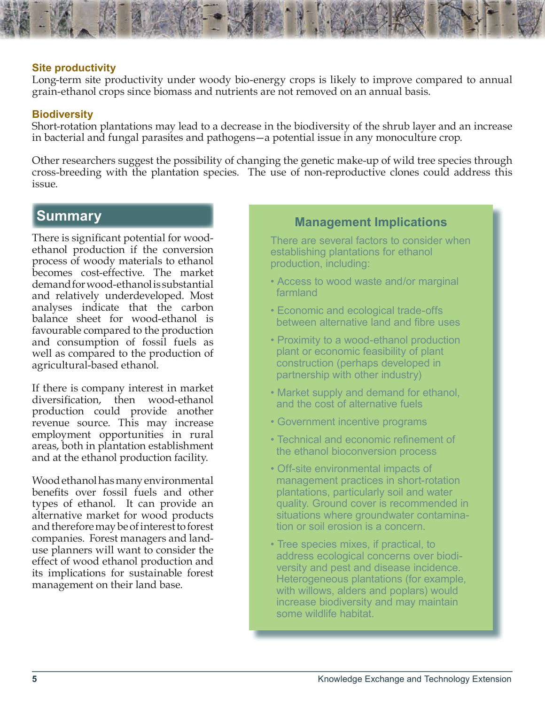#### **Site productivity**

Long-term site productivity under woody bio-energy crops is likely to improve compared to annual grain-ethanol crops since biomass and nutrients are not removed on an annual basis.

#### **Biodiversity**

Short-rotation plantations may lead to a decrease in the biodiversity of the shrub layer and an increase in bacterial and fungal parasites and pathogens—a potential issue in any monoculture crop.

Other researchers suggest the possibility of changing the genetic make-up of wild tree species through cross-breeding with the plantation species. The use of non-reproductive clones could address this issue.

There is significant potential for woodethanol production if the conversion process of woody materials to ethanol becomes cost-effective. The market demand for wood-ethanol is substantial and relatively underdeveloped. Most analyses indicate that the carbon balance sheet for wood-ethanol is favourable compared to the production and consumption of fossil fuels as well as compared to the production of agricultural-based ethanol.

If there is company interest in market diversification, then wood-ethanol production could provide another revenue source. This may increase employment opportunities in rural areas, both in plantation establishment and at the ethanol production facility.

Wood ethanol has many environmental benefits over fossil fuels and other types of ethanol. It can provide an alternative market for wood products and therefore may be of interest to forest companies. Forest managers and landuse planners will want to consider the effect of wood ethanol production and its implications for sustainable forest management on their land base.

# **Summary Management Implications**

There are several factors to consider when establishing plantations for ethanol production, including:

- Access to wood waste and/or marginal farmland
- Economic and ecological trade-offs between alternative land and fibre uses
- Proximity to a wood-ethanol production plant or economic feasibility of plant construction (perhaps developed in partnership with other industry)
- Market supply and demand for ethanol, and the cost of alternative fuels
- Government incentive programs
- Technical and economic refinement of the ethanol bioconversion process
- Off-site environmental impacts of management practices in short-rotation plantations, particularly soil and water quality. Ground cover is recommended in situations where groundwater contamina tion or soil erosion is a concern.
- Tree species mixes, if practical, to address ecological concerns over biodi versity and pest and disease incidence. Heterogeneous plantations (for example, with willows, alders and poplars) would increase biodiversity and may maintain some wildlife habitat.